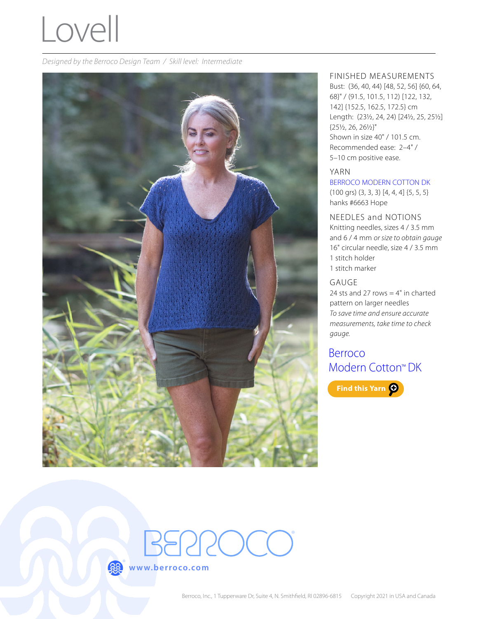# Lovell

*Designed by the Berroco Design Team / Skill level: Intermediate*



#### FINISHED MEASUREMENTS

Bust: (36, 40, 44) [48, 52, 56] {60, 64, 68}" / (91.5, 101.5, 112) [122, 132, 142] {152.5, 162.5, 172.5} cm Length: (23½, 24, 24) [24½, 25, 25½] {25½, 26, 26½}" Shown in size 40" / 101.5 cm. Recommended ease: 2–4" / 5–10 cm positive ease.

#### YARN

#### [BERROCO MODERN COTTON DK](https://www.berroco.com/yarns/berroco-modern-cotton-dk)

(100 grs) (3, 3, 3) [4, 4, 4] {5, 5, 5} hanks #6663 Hope

# NEEDLES and NOTIONS

Knitting needles, sizes 4 / 3.5 mm and 6 / 4 mm *or size to obtain gauge* 16" circular needle, size 4 / 3.5 mm 1 stitch holder 1 stitch marker

#### GAUGE

24 sts and 27 rows  $=$  4" in charted pattern on larger needles *To save time and ensure accurate measurements, take time to check gauge.*

# [Berroco](https://www.berroco.com/yarns/berroco-modern-cotton-dk)  [Modern Cotton™ DK](https://www.berroco.com/yarns/berroco-modern-cotton-dk)



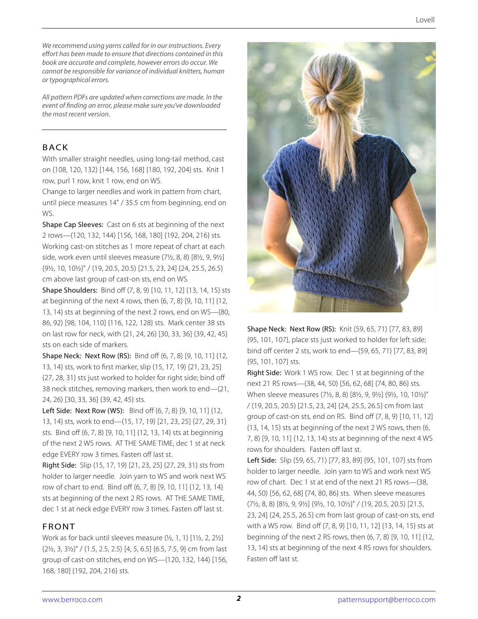*We recommend using yarns called for in our instructions. Every effort has been made to ensure that directions contained in this book are accurate and complete, however errors do occur. We cannot be responsible for variance of individual knitters, human or typographical errors.*

*All pattern PDFs are updated when corrections are made. In the event of nding an error, please make sure you've downloaded the most recent version.*

#### BACK

With smaller straight needles, using long-tail method, cast on (108, 120, 132) [144, 156, 168] {180, 192, 204} sts. Knit 1 row, purl 1 row, knit 1 row, end on WS.

Change to larger needles and work in pattern from chart, until piece measures 14" / 35.5 cm from beginning, end on WS.

Shape Cap Sleeves: Cast on 6 sts at beginning of the next 2 rows—(120, 132, 144) [156, 168, 180] {192, 204, 216} sts. Working cast-on stitches as 1 more repeat of chart at each side, work even until sleeves measure (7½, 8, 8) [8½, 9, 9½] {9½, 10, 10½}" / (19, 20.5, 20.5) [21.5, 23, 24] {24, 25.5, 26.5} cm above last group of cast-on sts, end on WS.

Shape Shoulders: Bind off (7, 8, 9) [10, 11, 12] {13, 14, 15} sts at beginning of the next 4 rows, then (6, 7, 8) [9, 10, 11] {12, 13, 14} sts at beginning of the next 2 rows, end on WS—(80, 86, 92) [98, 104, 110] {116, 122, 128} sts. Mark center 38 sts on last row for neck, with (21, 24, 26) [30, 33, 36] {39, 42, 45} sts on each side of markers.

**Shape Neck: Next Row (RS):** Bind off (6, 7, 8) [9, 10, 11] {12, 13, 14} sts, work to first marker, slip (15, 17, 19) [21, 23, 25] {27, 28, 31} sts just worked to holder for right side; bind o 38 neck stitches, removing markers, then work to end—(21, 24, 26) [30, 33, 36] {39, 42, 45} sts.

Left Side: Next Row (WS): Bind o (6, 7, 8) [9, 10, 11] {12, 13, 14} sts, work to end—(15, 17, 19) [21, 23, 25] {27, 29, 31} sts. Bind off (6, 7, 8) [9, 10, 11] {12, 13, 14} sts at beginning of the next 2 WS rows. AT THE SAME TIME, dec 1 st at neck edge EVERY row 3 times. Fasten off last st.

Right Side: Slip (15, 17, 19) [21, 23, 25] {27, 29, 31} sts from holder to larger needle. Join yarn to WS and work next WS row of chart to end. Bind off (6, 7, 8) [9, 10, 11] {12, 13, 14} sts at beginning of the next 2 RS rows. AT THE SAME TIME, dec 1 st at neck edge EVERY row 3 times. Fasten off last st.

### FRONT

Work as for back until sleeves measure (½, 1, 1) [1½, 2, 2½] {2½, 3, 3½}" / (1.5, 2.5, 2.5) [4, 5, 6.5] {6.5, 7.5, 9} cm from last group of cast-on stitches, end on WS—(120, 132, 144) [156, 168, 180] {192, 204, 216} sts.



Shape Neck: Next Row (RS): Knit (59, 65, 71) [77, 83, 89] {95, 101, 107}, place sts just worked to holder for left side; bind off center 2 sts, work to end—(59, 65, 71) [77, 83, 89] {95, 101, 107} sts.

Right Side: Work 1 WS row. Dec 1 st at beginning of the next 21 RS rows—(38, 44, 50) [56, 62, 68] {74, 80, 86} sts. When sleeve measures (7½, 8, 8) [8½, 9, 9½] {9½, 10, 10½}" / (19, 20.5, 20.5) [21.5, 23, 24] {24, 25.5, 26.5} cm from last group of cast-on sts, end on RS. Bind off (7, 8, 9) [10, 11, 12] {13, 14, 15} sts at beginning of the next 2 WS rows, then (6, 7, 8) [9, 10, 11] {12, 13, 14} sts at beginning of the next 4 WS rows for shoulders. Fasten off last st.

Left Side: Slip (59, 65, 71) [77, 83, 89] {95, 101, 107} sts from holder to larger needle. Join yarn to WS and work next WS row of chart. Dec 1 st at end of the next 21 RS rows—(38, 44, 50) [56, 62, 68] {74, 80, 86} sts. When sleeve measures (7½, 8, 8) [8½, 9, 9½] {9½, 10, 10½}" / (19, 20.5, 20.5) [21.5, 23, 24] {24, 25.5, 26.5} cm from last group of cast-on sts, end with a WS row. Bind off  $(7, 8, 9)$  [10, 11, 12]  $\{13, 14, 15\}$  sts at beginning of the next 2 RS rows, then (6, 7, 8) [9, 10, 11] {12, 13, 14} sts at beginning of the next 4 RS rows for shoulders. Fasten off last st.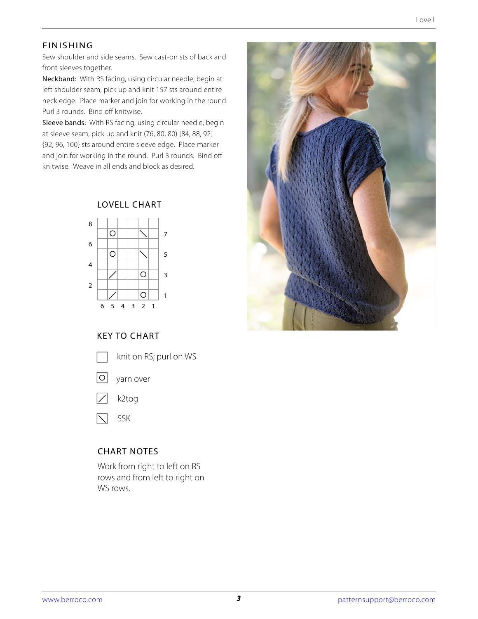## FINISHING

Sew shoulder and side seams. Sew cast-on sts of back and front sleeves together.

Neckband: With RS facing, using circular needle, begin at left shoulder seam, pick up and knit 157 sts around entire neck edge. Place marker and join for working in the round. Purl 3 rounds. Bind off knitwise.

Sleeve bands: With RS facing, using circular needle, begin at sleeve seam, pick up and knit (76, 80, 80) [84, 88, 92] {92, 96, 100} sts around entire sleeve edge. Place marker and join for working in the round. Purl 3 rounds. Bind off knitwise. Weave in all ends and block as desired.



#### KEY TO CHART KEY TO CHART

knit on RS; purl on WS knit on RS; purl on WS



k2tog  $k^2$ 

 $\overline{\mathcal{L}}$  $\mathbb N$ SSK

#### CHART NOTES CHART NOTES

wommoningin to left on RS rows and from left to right on .<br>MS rows WS rows. Work from right to left on RS rows and from left to right on WS rows.

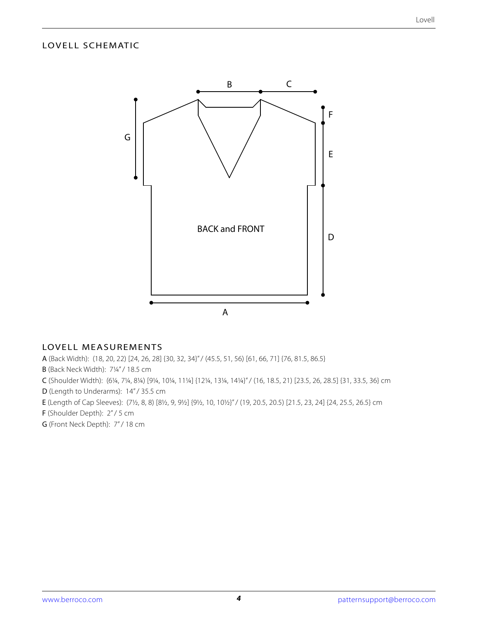## LOVELL SCHEMATIC



### LOVELL MEASUREMENTS

A (Back Width): (18, 20, 22) [24, 26, 28] {30, 32, 34}" / (45.5, 51, 56) [61, 66, 71] {76, 81.5, 86.5}

B (Back Neck Width): 7¼" / 18.5 cm

C (Shoulder Width): (6¼, 7¼, 8¼) [9¼, 10¼, 11¼] {12¼, 13¼, 14¼}" / (16, 18.5, 21) [23.5, 26, 28.5] {31, 33.5, 36} cm

D (Length to Underarms): 14" / 35.5 cm

E (Length of Cap Sleeves): (7½, 8, 8) [8½, 9, 9½] {9½, 10, 10½}" / (19, 20.5, 20.5) [21.5, 23, 24] {24, 25.5, 26.5} cm

F (Shoulder Depth): 2" / 5 cm

G (Front Neck Depth): 7" / 18 cm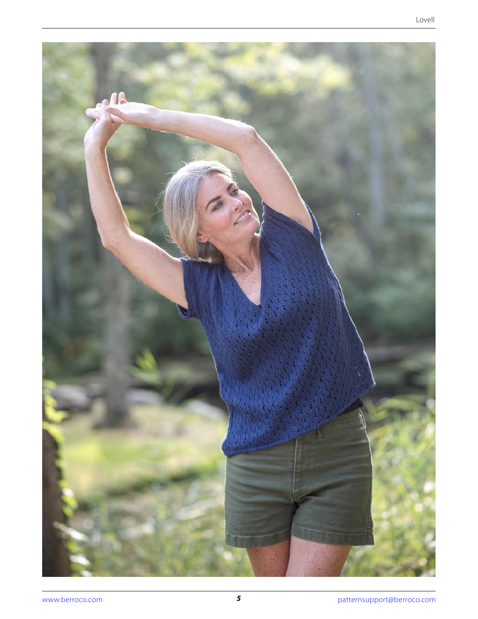